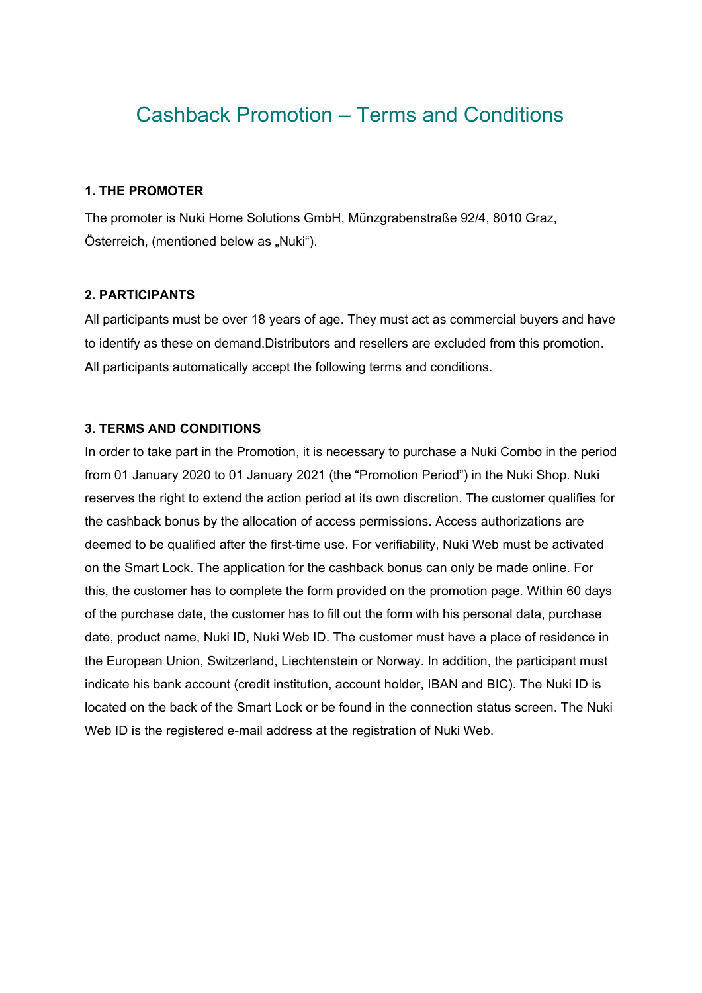# Cashback Promotion – Terms and Conditions

## **1. THE PROMOTER**

The promoter is Nuki Home Solutions GmbH, Münzgrabenstraße 92/4, 8010 Graz, Österreich, (mentioned below as "Nuki").

## **2. PARTICIPANTS**

All participants must be over 18 years of age. They must act as commercial buyers and have to identify as these on demand.Distributors and resellers are excluded from this promotion. All participants automatically accept the following terms and conditions.

### **3. TERMS AND CONDITIONS**

In order to take part in the Promotion, it is necessary to purchase a Nuki Combo in the period from 01 January 2020 to 01 January 2021 (the "Promotion Period") in the Nuki Shop. Nuki reserves the right to extend the action period at its own discretion. The customer qualifies for the cashback bonus by the allocation of access permissions. Access authorizations are deemed to be qualified after the first-time use. For verifiability, Nuki Web must be activated on the Smart Lock. The application for the cashback bonus can only be made online. For this, the customer has to complete the form provided on the promotion page. Within 60 days of the purchase date, the customer has to fill out the form with his personal data, purchase date, product name, Nuki ID, Nuki Web ID. The customer must have a place of residence in the European Union, Switzerland, Liechtenstein or Norway. In addition, the participant must indicate his bank account (credit institution, account holder, IBAN and BIC). The Nuki ID is located on the back of the Smart Lock or be found in the connection status screen. The Nuki Web ID is the registered e-mail address at the registration of Nuki Web.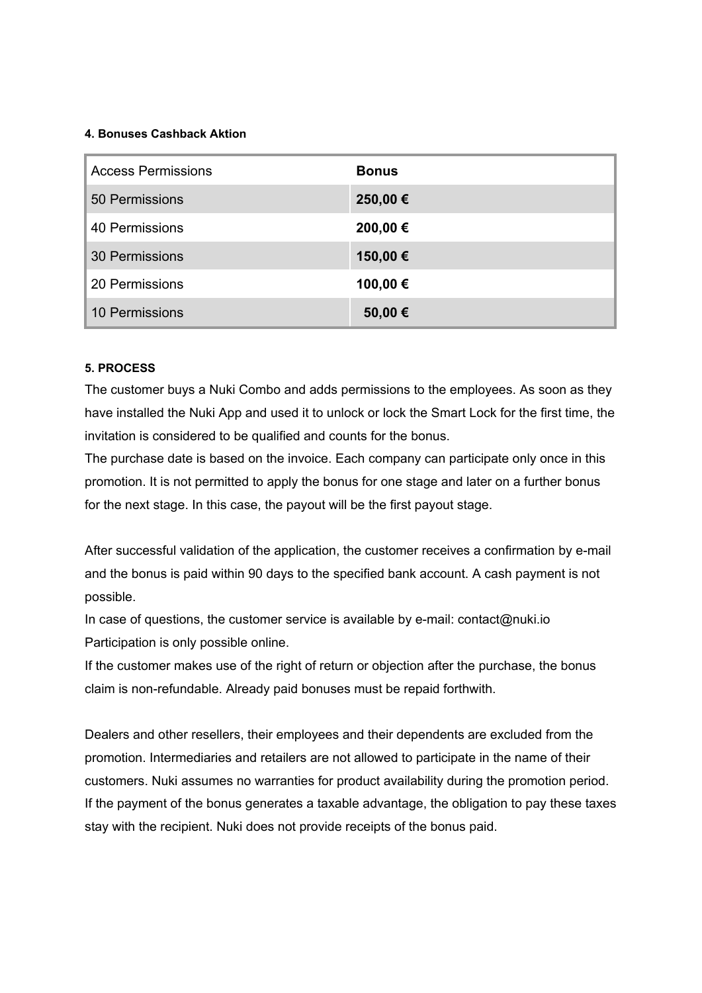#### **4. Bonuses Cashback Aktion**

| <b>Access Permissions</b> | <b>Bonus</b> |
|---------------------------|--------------|
| 50 Permissions            | 250,00€      |
| 40 Permissions            | 200,00 €     |
| <b>30 Permissions</b>     | 150,00 €     |
| 20 Permissions            | 100,00€      |
| 10 Permissions            | 50,00€       |

#### **5. PROCESS**

The customer buys a Nuki Combo and adds permissions to the employees. As soon as they have installed the Nuki App and used it to unlock or lock the Smart Lock for the first time, the invitation is considered to be qualified and counts for the bonus.

The purchase date is based on the invoice. Each company can participate only once in this promotion. It is not permitted to apply the bonus for one stage and later on a further bonus for the next stage. In this case, the payout will be the first payout stage.

After successful validation of the application, the customer receives a confirmation by e-mail and the bonus is paid within 90 days to the specified bank account. A cash payment is not possible.

In case of questions, the customer service is available by e-mail: contact@nuki.io Participation is only possible online.

If the customer makes use of the right of return or objection after the purchase, the bonus claim is non-refundable. Already paid bonuses must be repaid forthwith.

Dealers and other resellers, their employees and their dependents are excluded from the promotion. Intermediaries and retailers are not allowed to participate in the name of their customers. Nuki assumes no warranties for product availability during the promotion period. If the payment of the bonus generates a taxable advantage, the obligation to pay these taxes stay with the recipient. Nuki does not provide receipts of the bonus paid.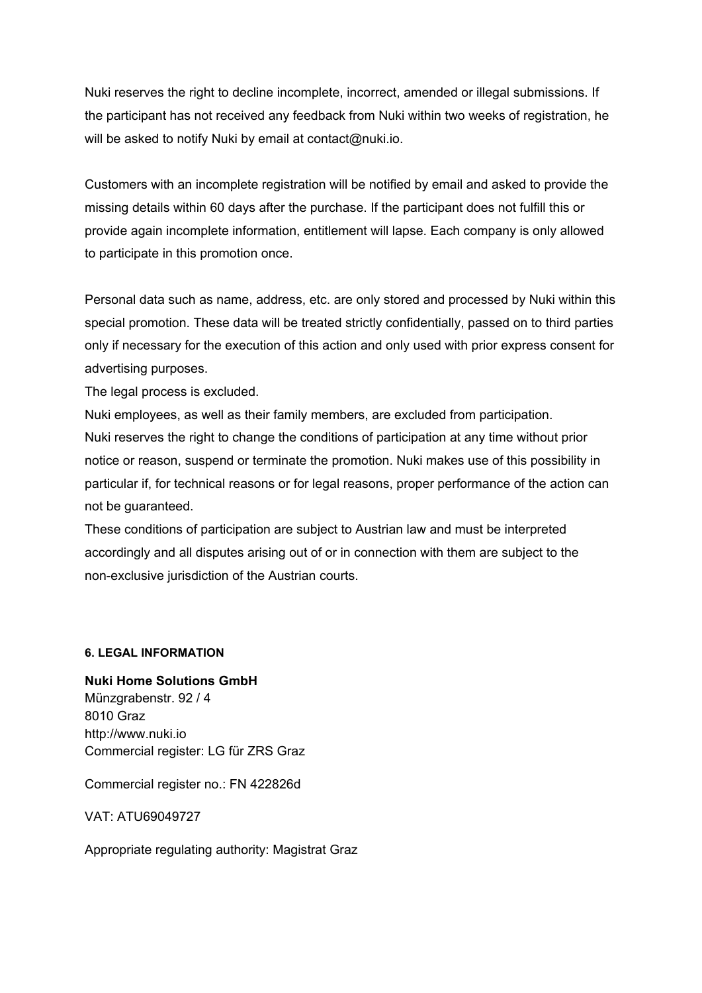Nuki reserves the right to decline incomplete, incorrect, amended or illegal submissions. If the participant has not received any feedback from Nuki within two weeks of registration, he will be asked to notify Nuki by email at contact@nuki.io.

Customers with an incomplete registration will be notified by email and asked to provide the missing details within 60 days after the purchase. If the participant does not fulfill this or provide again incomplete information, entitlement will lapse. Each company is only allowed to participate in this promotion once.

Personal data such as name, address, etc. are only stored and processed by Nuki within this special promotion. These data will be treated strictly confidentially, passed on to third parties only if necessary for the execution of this action and only used with prior express consent for advertising purposes.

The legal process is excluded.

Nuki employees, as well as their family members, are excluded from participation. Nuki reserves the right to change the conditions of participation at any time without prior notice or reason, suspend or terminate the promotion. Nuki makes use of this possibility in particular if, for technical reasons or for legal reasons, proper performance of the action can not be guaranteed.

These conditions of participation are subject to Austrian law and must be interpreted accordingly and all disputes arising out of or in connection with them are subject to the non-exclusive jurisdiction of the Austrian courts.

#### **6. LEGAL INFORMATION**

**Nuki Home Solutions GmbH**  Münzgrabenstr. 92 / 4 8010 Graz http://www.nuki.io Commercial register: LG für ZRS Graz

Commercial register no.: FN 422826d

VAT: ATU69049727

Appropriate regulating authority: Magistrat Graz